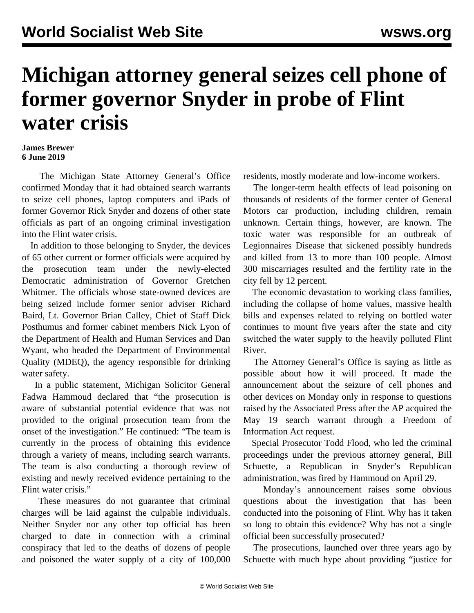## **Michigan attorney general seizes cell phone of former governor Snyder in probe of Flint water crisis**

## **James Brewer 6 June 2019**

 The Michigan State Attorney General's Office confirmed Monday that it had obtained search warrants to seize cell phones, laptop computers and iPads of former Governor Rick Snyder and dozens of other state officials as part of an ongoing criminal investigation into the Flint water crisis.

 In addition to those belonging to Snyder, the devices of 65 other current or former officials were acquired by the prosecution team under the newly-elected Democratic administration of Governor Gretchen Whitmer. The officials whose state-owned devices are being seized include former senior adviser Richard Baird, Lt. Governor Brian Calley, Chief of Staff Dick Posthumus and former cabinet members Nick Lyon of the Department of Health and Human Services and Dan Wyant, who headed the Department of Environmental Quality (MDEQ), the agency responsible for drinking water safety.

 In a public statement, Michigan Solicitor General Fadwa Hammoud declared that "the prosecution is aware of substantial potential evidence that was not provided to the original prosecution team from the onset of the investigation." He continued: "The team is currently in the process of obtaining this evidence through a variety of means, including search warrants. The team is also conducting a thorough review of existing and newly received evidence pertaining to the Flint water crisis."

 These measures do not guarantee that criminal charges will be laid against the culpable individuals. Neither Snyder nor any other top official has been charged to date in connection with a criminal conspiracy that led to the deaths of dozens of people and poisoned the water supply of a city of 100,000

residents, mostly moderate and low-income workers.

 The longer-term health effects of lead poisoning on thousands of residents of the former center of General Motors car production, including children, remain unknown. Certain things, however, are known. The toxic water was responsible for an outbreak of Legionnaires Disease that sickened possibly hundreds and killed from 13 to more than 100 people. Almost 300 miscarriages resulted and the fertility rate in the city fell by 12 percent.

 The economic devastation to working class families, including the collapse of home values, massive health bills and expenses related to relying on bottled water continues to mount five years after the state and city switched the water supply to the heavily polluted Flint River.

 The Attorney General's Office is saying as little as possible about how it will proceed. It made the announcement about the seizure of cell phones and other devices on Monday only in response to questions raised by the Associated Press after the AP acquired the May 19 search warrant through a Freedom of Information Act request.

 Special Prosecutor Todd Flood, who led the criminal proceedings under the previous attorney general, Bill Schuette, a Republican in Snyder's Republican administration, was fired by Hammoud on April 29.

 Monday's announcement raises some obvious questions about the investigation that has been conducted into the poisoning of Flint. Why has it taken so long to obtain this evidence? Why has not a single official been successfully prosecuted?

 The prosecutions, launched over three years ago by Schuette with much hype about providing "justice for